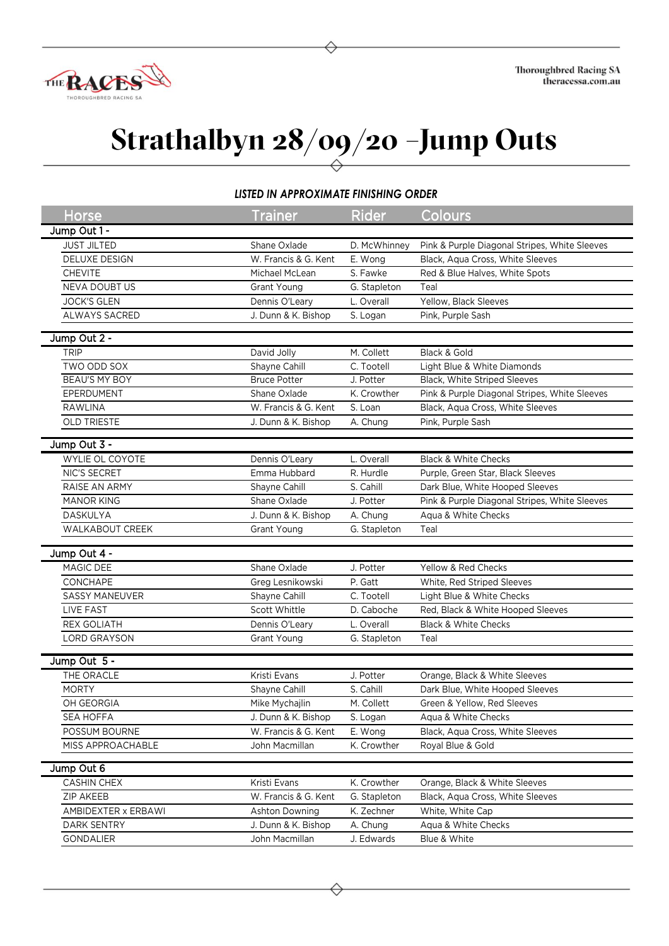

## **Strathalbyn 28/09/20 –Jump Outs**

## *LISTED IN APPROXIMATE FINISHING ORDER*

| <b>Horse</b>           | <b>Trainer</b>       | <b>Rider</b> | Colours                                       |
|------------------------|----------------------|--------------|-----------------------------------------------|
| Jump Out 1 -           |                      |              |                                               |
| <b>JUST JILTED</b>     | Shane Oxlade         | D. McWhinney | Pink & Purple Diagonal Stripes, White Sleeves |
| DELUXE DESIGN          | W. Francis & G. Kent | E. Wong      | Black, Aqua Cross, White Sleeves              |
| <b>CHEVITE</b>         | Michael McLean       | S. Fawke     | Red & Blue Halves, White Spots                |
| <b>NEVA DOUBT US</b>   | <b>Grant Young</b>   | G. Stapleton | Teal                                          |
| <b>JOCK'S GLEN</b>     | Dennis O'Leary       | L. Overall   | Yellow, Black Sleeves                         |
| ALWAYS SACRED          | J. Dunn & K. Bishop  | S. Logan     | Pink, Purple Sash                             |
| Jump Out 2 -           |                      |              |                                               |
| <b>TRIP</b>            | David Jolly          | M. Collett   | Black & Gold                                  |
| TWO ODD SOX            | Shayne Cahill        | C. Tootell   | Light Blue & White Diamonds                   |
| BEAU'S MY BOY          | <b>Bruce Potter</b>  | J. Potter    | Black, White Striped Sleeves                  |
| EPERDUMENT             | Shane Oxlade         | K. Crowther  | Pink & Purple Diagonal Stripes, White Sleeves |
| <b>RAWLINA</b>         | W. Francis & G. Kent | S. Loan      | Black, Aqua Cross, White Sleeves              |
| <b>OLD TRIESTE</b>     | J. Dunn & K. Bishop  | A. Chung     | Pink, Purple Sash                             |
|                        |                      |              |                                               |
| Jump Out 3 -           |                      |              |                                               |
| WYLIE OL COYOTE        | Dennis O'Leary       | L. Overall   | <b>Black &amp; White Checks</b>               |
| NIC'S SECRET           | Emma Hubbard         | R. Hurdle    | Purple, Green Star, Black Sleeves             |
| RAISE AN ARMY          | Shayne Cahill        | S. Cahill    | Dark Blue, White Hooped Sleeves               |
| <b>MANOR KING</b>      | Shane Oxlade         | J. Potter    | Pink & Purple Diagonal Stripes, White Sleeves |
| <b>DASKULYA</b>        | J. Dunn & K. Bishop  | A. Chung     | Aqua & White Checks                           |
| <b>WALKABOUT CREEK</b> | Grant Young          | G. Stapleton | Teal                                          |
| Jump Out 4 -           |                      |              |                                               |
| MAGIC DEE              | Shane Oxlade         | J. Potter    | Yellow & Red Checks                           |
| CONCHAPE               | Greg Lesnikowski     | P. Gatt      | White, Red Striped Sleeves                    |
| <b>SASSY MANEUVER</b>  | Shayne Cahill        | C. Tootell   | Light Blue & White Checks                     |
| LIVE FAST              | Scott Whittle        | D. Caboche   | Red, Black & White Hooped Sleeves             |
| <b>REX GOLIATH</b>     | Dennis O'Leary       | L. Overall   | <b>Black &amp; White Checks</b>               |
| LORD GRAYSON           | Grant Young          | G. Stapleton | Teal                                          |
| Jump Out 5 -           |                      |              |                                               |
| THE ORACLE             | Kristi Evans         | J. Potter    | Orange, Black & White Sleeves                 |
| <b>MORTY</b>           | Shayne Cahill        | S. Cahill    | Dark Blue, White Hooped Sleeves               |
| OH GEORGIA             | Mike Mychajlin       | M. Collett   | Green & Yellow, Red Sleeves                   |
| <b>SEA HOFFA</b>       | J. Dunn & K. Bishop  | S. Logan     | Aqua & White Checks                           |
| POSSUM BOURNE          | W. Francis & G. Kent | E. Wong      | Black, Aqua Cross, White Sleeves              |
| MISS APPROACHABLE      | John Macmillan       | K. Crowther  | Royal Blue & Gold                             |
|                        |                      |              |                                               |
| Jump Out 6             |                      |              |                                               |
| <b>CASHIN CHEX</b>     | Kristi Evans         | K. Crowther  | Orange, Black & White Sleeves                 |
| <b>ZIP AKEEB</b>       | W. Francis & G. Kent | G. Stapleton | Black, Aqua Cross, White Sleeves              |
| AMBIDEXTER x ERBAWI    | Ashton Downing       | K. Zechner   | White, White Cap                              |
| DARK SENTRY            | J. Dunn & K. Bishop  | A. Chung     | Aqua & White Checks                           |
| GONDALIER              | John Macmillan       | J. Edwards   | Blue & White                                  |